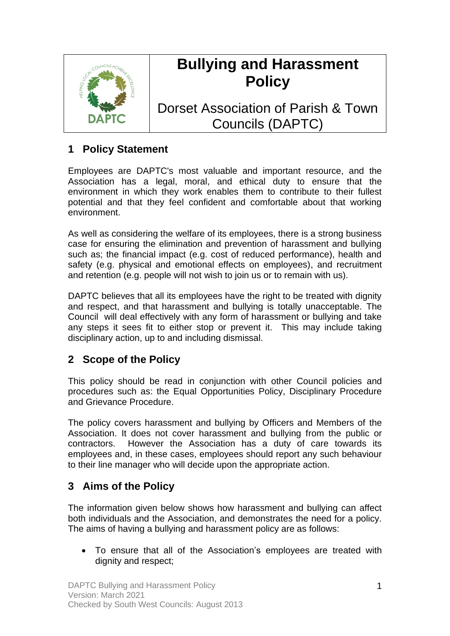

# **Bullying and Harassment Policy**

Dorset Association of Parish & Town Councils (DAPTC)

# **1 Policy Statement**

Employees are DAPTC's most valuable and important resource, and the Association has a legal, moral, and ethical duty to ensure that the environment in which they work enables them to contribute to their fullest potential and that they feel confident and comfortable about that working environment.

As well as considering the welfare of its employees, there is a strong business case for ensuring the elimination and prevention of harassment and bullying such as; the financial impact (e.g. cost of reduced performance), health and safety (e.g. physical and emotional effects on employees), and recruitment and retention (e.g. people will not wish to join us or to remain with us).

DAPTC believes that all its employees have the right to be treated with dignity and respect, and that harassment and bullying is totally unacceptable. The Council will deal effectively with any form of harassment or bullying and take any steps it sees fit to either stop or prevent it. This may include taking disciplinary action, up to and including dismissal.

## **2 Scope of the Policy**

This policy should be read in conjunction with other Council policies and procedures such as: the Equal Opportunities Policy, Disciplinary Procedure and Grievance Procedure.

The policy covers harassment and bullying by Officers and Members of the Association. It does not cover harassment and bullying from the public or contractors. However the Association has a duty of care towards its employees and, in these cases, employees should report any such behaviour to their line manager who will decide upon the appropriate action.

## **3 Aims of the Policy**

The information given below shows how harassment and bullying can affect both individuals and the Association, and demonstrates the need for a policy. The aims of having a bullying and harassment policy are as follows:

• To ensure that all of the Association's employees are treated with dignity and respect;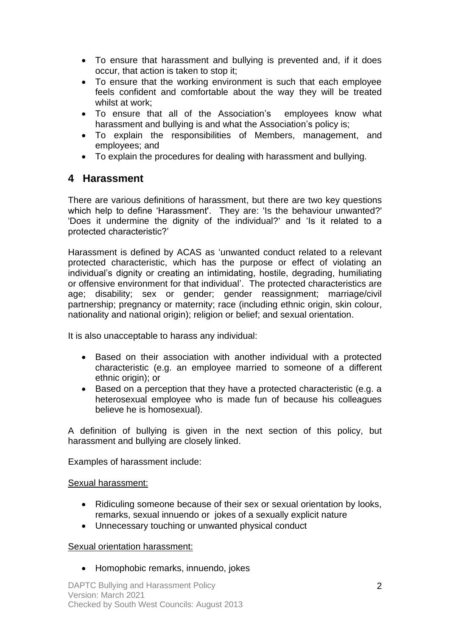- To ensure that harassment and bullying is prevented and, if it does occur, that action is taken to stop it;
- To ensure that the working environment is such that each employee feels confident and comfortable about the way they will be treated whilst at work;
- To ensure that all of the Association's employees know what harassment and bullying is and what the Association's policy is;
- To explain the responsibilities of Members, management, and employees; and
- To explain the procedures for dealing with harassment and bullying.

## **4 Harassment**

There are various definitions of harassment, but there are two key questions which help to define 'Harassment'. They are: 'Is the behaviour unwanted?' 'Does it undermine the dignity of the individual?' and 'Is it related to a protected characteristic?'

Harassment is defined by ACAS as 'unwanted conduct related to a relevant protected characteristic, which has the purpose or effect of violating an individual's dignity or creating an intimidating, hostile, degrading, humiliating or offensive environment for that individual'. The protected characteristics are age; disability; sex or gender; gender reassignment; marriage/civil partnership; pregnancy or maternity; race (including ethnic origin, skin colour, nationality and national origin); religion or belief; and sexual orientation.

It is also unacceptable to harass any individual:

- Based on their association with another individual with a protected characteristic (e.g. an employee married to someone of a different ethnic origin); or
- Based on a perception that they have a protected characteristic (e.g. a heterosexual employee who is made fun of because his colleagues believe he is homosexual).

A definition of bullying is given in the next section of this policy, but harassment and bullying are closely linked.

Examples of harassment include:

### Sexual harassment:

- Ridiculing someone because of their sex or sexual orientation by looks, remarks, sexual innuendo or jokes of a sexually explicit nature
- Unnecessary touching or unwanted physical conduct

### Sexual orientation harassment:

• Homophobic remarks, innuendo, jokes

DAPTC Bullying and Harassment Policy Version: March 2021 Checked by South West Councils: August 2013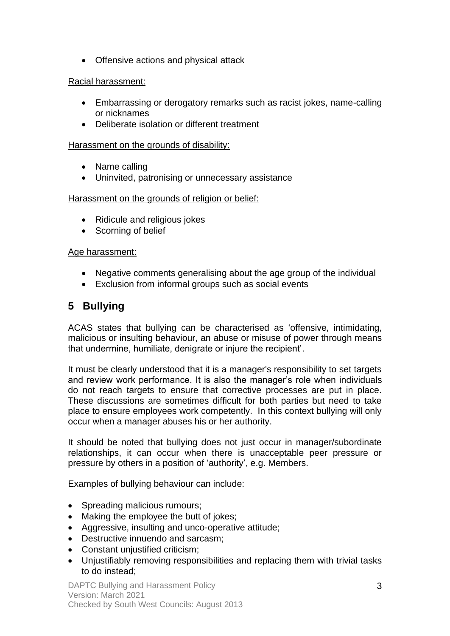• Offensive actions and physical attack

#### Racial harassment:

- Embarrassing or derogatory remarks such as racist jokes, name-calling or nicknames
- Deliberate isolation or different treatment

#### Harassment on the grounds of disability:

- Name calling
- Uninvited, patronising or unnecessary assistance

#### Harassment on the grounds of religion or belief:

- Ridicule and religious jokes
- Scorning of belief

#### Age harassment:

- Negative comments generalising about the age group of the individual
- Exclusion from informal groups such as social events

# **5 Bullying**

ACAS states that bullying can be characterised as 'offensive, intimidating, malicious or insulting behaviour, an abuse or misuse of power through means that undermine, humiliate, denigrate or injure the recipient'.

It must be clearly understood that it is a manager's responsibility to set targets and review work performance. It is also the manager's role when individuals do not reach targets to ensure that corrective processes are put in place. These discussions are sometimes difficult for both parties but need to take place to ensure employees work competently. In this context bullying will only occur when a manager abuses his or her authority.

It should be noted that bullying does not just occur in manager/subordinate relationships, it can occur when there is unacceptable peer pressure or pressure by others in a position of 'authority', e.g. Members.

Examples of bullying behaviour can include:

- Spreading malicious rumours;
- Making the employee the butt of jokes;
- Aggressive, insulting and unco-operative attitude;
- Destructive innuendo and sarcasm;
- Constant unjustified criticism;
- Unjustifiably removing responsibilities and replacing them with trivial tasks to do instead;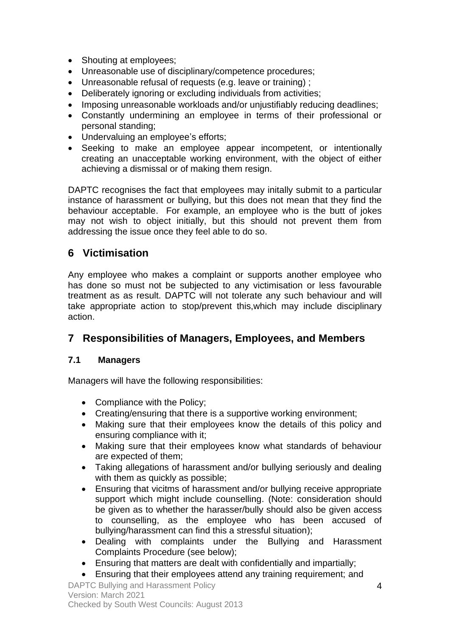- Shouting at employees;
- Unreasonable use of disciplinary/competence procedures;
- Unreasonable refusal of requests (e.g. leave or training) ;
- Deliberately ignoring or excluding individuals from activities;
- Imposing unreasonable workloads and/or unjustifiably reducing deadlines;
- Constantly undermining an employee in terms of their professional or personal standing;
- Undervaluing an employee's efforts;
- Seeking to make an employee appear incompetent, or intentionally creating an unacceptable working environment, with the object of either achieving a dismissal or of making them resign.

DAPTC recognises the fact that employees may initally submit to a particular instance of harassment or bullying, but this does not mean that they find the behaviour acceptable. For example, an employee who is the butt of jokes may not wish to object initially, but this should not prevent them from addressing the issue once they feel able to do so.

## **6 Victimisation**

Any employee who makes a complaint or supports another employee who has done so must not be subjected to any victimisation or less favourable treatment as as result. DAPTC will not tolerate any such behaviour and will take appropriate action to stop/prevent this,which may include disciplinary action.

## **7 Responsibilities of Managers, Employees, and Members**

### **7.1 Managers**

Managers will have the following responsibilities:

- Compliance with the Policy;
- Creating/ensuring that there is a supportive working environment:
- Making sure that their employees know the details of this policy and ensuring compliance with it;
- Making sure that their employees know what standards of behaviour are expected of them;
- Taking allegations of harassment and/or bullying seriously and dealing with them as quickly as possible;
- Ensuring that vicitms of harassment and/or bullying receive appropriate support which might include counselling. (Note: consideration should be given as to whether the harasser/bully should also be given access to counselling, as the employee who has been accused of bullying/harassment can find this a stressful situation);
- Dealing with complaints under the Bullying and Harassment Complaints Procedure (see below);
- Ensuring that matters are dealt with confidentially and impartially;
- Ensuring that their employees attend any training requirement; and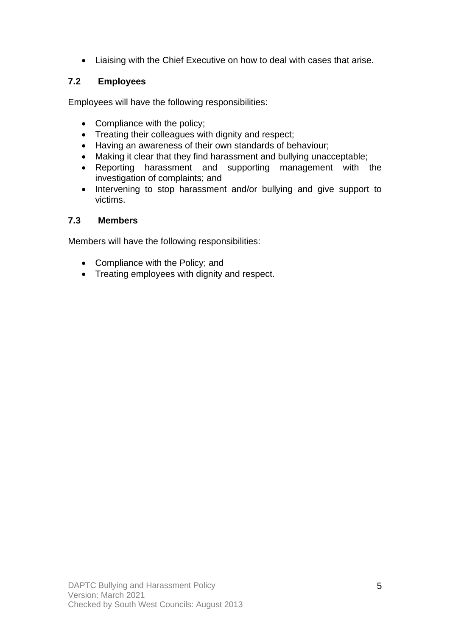• Liaising with the Chief Executive on how to deal with cases that arise.

## **7.2 Employees**

Employees will have the following responsibilities:

- Compliance with the policy;
- Treating their colleagues with dignity and respect;
- Having an awareness of their own standards of behaviour;
- Making it clear that they find harassment and bullying unacceptable;
- Reporting harassment and supporting management with the investigation of complaints; and
- Intervening to stop harassment and/or bullying and give support to victims.

### **7.3 Members**

Members will have the following responsibilities:

- Compliance with the Policy; and
- Treating employees with dignity and respect.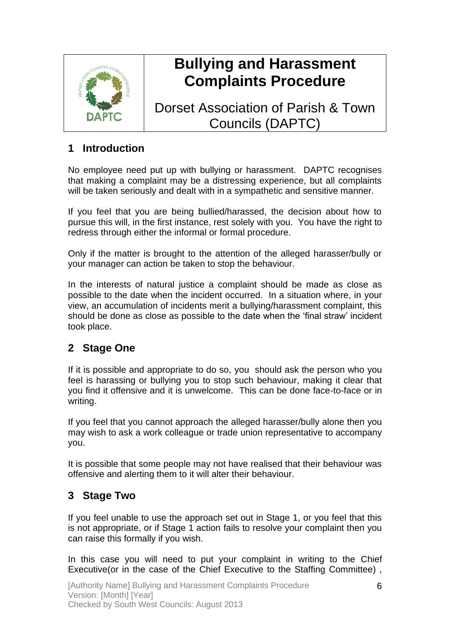

# **Bullying and Harassment Complaints Procedure**

Dorset Association of Parish & Town Councils (DAPTC)

## **1 Introduction**

No employee need put up with bullying or harassment. DAPTC recognises that making a complaint may be a distressing experience, but all complaints will be taken seriously and dealt with in a sympathetic and sensitive manner.

If you feel that you are being bullied/harassed, the decision about how to pursue this will, in the first instance, rest solely with you. You have the right to redress through either the informal or formal procedure.

Only if the matter is brought to the attention of the alleged harasser/bully or your manager can action be taken to stop the behaviour.

In the interests of natural justice a complaint should be made as close as possible to the date when the incident occurred. In a situation where, in your view, an accumulation of incidents merit a bullying/harassment complaint, this should be done as close as possible to the date when the 'final straw' incident took place.

# **2 Stage One**

If it is possible and appropriate to do so, you should ask the person who you feel is harassing or bullying you to stop such behaviour, making it clear that you find it offensive and it is unwelcome. This can be done face-to-face or in writing.

If you feel that you cannot approach the alleged harasser/bully alone then you may wish to ask a work colleague or trade union representative to accompany you.

It is possible that some people may not have realised that their behaviour was offensive and alerting them to it will alter their behaviour.

# **3 Stage Two**

If you feel unable to use the approach set out in Stage 1, or you feel that this is not appropriate, or if Stage 1 action fails to resolve your complaint then you can raise this formally if you wish.

In this case you will need to put your complaint in writing to the Chief Executive(or in the case of the Chief Executive to the Staffing Committee) ,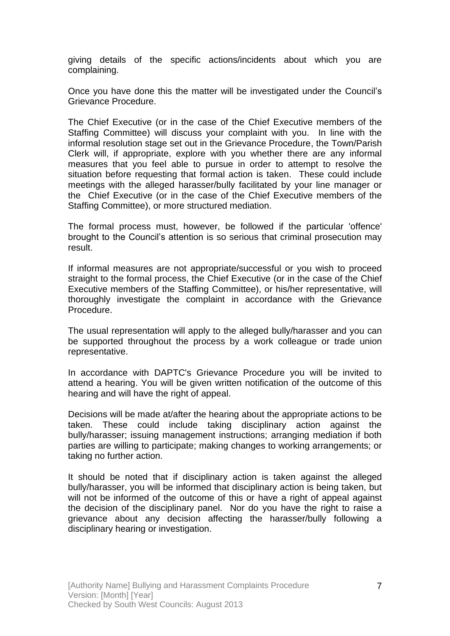giving details of the specific actions/incidents about which you are complaining.

Once you have done this the matter will be investigated under the Council's Grievance Procedure.

The Chief Executive (or in the case of the Chief Executive members of the Staffing Committee) will discuss your complaint with you. In line with the informal resolution stage set out in the Grievance Procedure, the Town/Parish Clerk will, if appropriate, explore with you whether there are any informal measures that you feel able to pursue in order to attempt to resolve the situation before requesting that formal action is taken. These could include meetings with the alleged harasser/bully facilitated by your line manager or the Chief Executive (or in the case of the Chief Executive members of the Staffing Committee), or more structured mediation.

The formal process must, however, be followed if the particular 'offence' brought to the Council's attention is so serious that criminal prosecution may result.

If informal measures are not appropriate/successful or you wish to proceed straight to the formal process, the Chief Executive (or in the case of the Chief Executive members of the Staffing Committee), or his/her representative, will thoroughly investigate the complaint in accordance with the Grievance Procedure.

The usual representation will apply to the alleged bully/harasser and you can be supported throughout the process by a work colleague or trade union representative.

In accordance with DAPTC's Grievance Procedure you will be invited to attend a hearing. You will be given written notification of the outcome of this hearing and will have the right of appeal.

Decisions will be made at/after the hearing about the appropriate actions to be taken. These could include taking disciplinary action against the bully/harasser; issuing management instructions; arranging mediation if both parties are willing to participate; making changes to working arrangements; or taking no further action.

It should be noted that if disciplinary action is taken against the alleged bully/harasser, you will be informed that disciplinary action is being taken, but will not be informed of the outcome of this or have a right of appeal against the decision of the disciplinary panel. Nor do you have the right to raise a grievance about any decision affecting the harasser/bully following a disciplinary hearing or investigation.